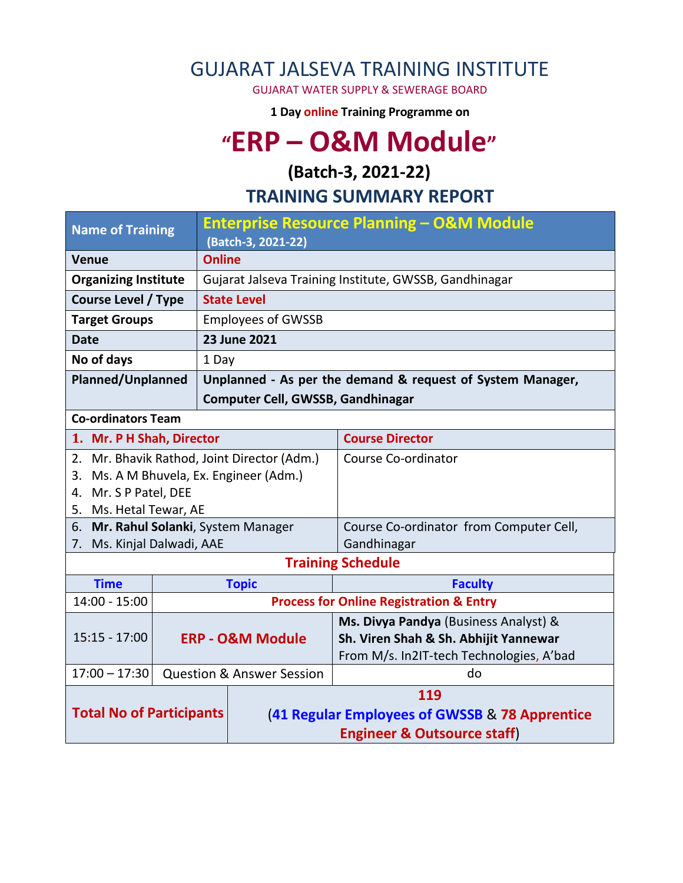## GUJARAT JALSEVA TRAINING INSTITUTE

GUJARAT WATER SUPPLY & SEWERAGE BOARD

**1 Day online Training Programme on** 

# **"ERP – O&M Module"**

### **(Batch-3, 2021-22)**

#### **TRAINING SUMMARY REPORT**

| <b>Name of Training</b>                                     |                     | <b>Enterprise Resource Planning - O&amp;M Module</b><br>(Batch-3, 2021-22) |                                                                                   |  |  |  |
|-------------------------------------------------------------|---------------------|----------------------------------------------------------------------------|-----------------------------------------------------------------------------------|--|--|--|
| <b>Venue</b>                                                |                     | <b>Online</b>                                                              |                                                                                   |  |  |  |
| <b>Organizing Institute</b>                                 |                     | Gujarat Jalseva Training Institute, GWSSB, Gandhinagar                     |                                                                                   |  |  |  |
| <b>Course Level / Type</b>                                  |                     | <b>State Level</b>                                                         |                                                                                   |  |  |  |
| <b>Target Groups</b>                                        |                     | <b>Employees of GWSSB</b>                                                  |                                                                                   |  |  |  |
| <b>Date</b>                                                 | <b>23 June 2021</b> |                                                                            |                                                                                   |  |  |  |
| No of days                                                  |                     | 1 Day                                                                      |                                                                                   |  |  |  |
| <b>Planned/Unplanned</b>                                    |                     | Unplanned - As per the demand & request of System Manager,                 |                                                                                   |  |  |  |
|                                                             |                     |                                                                            | Computer Cell, GWSSB, Gandhinagar                                                 |  |  |  |
| <b>Co-ordinators Team</b>                                   |                     |                                                                            |                                                                                   |  |  |  |
| 1. Mr. P H Shah, Director                                   |                     |                                                                            | <b>Course Director</b>                                                            |  |  |  |
|                                                             |                     | 2. Mr. Bhavik Rathod, Joint Director (Adm.)                                | Course Co-ordinator                                                               |  |  |  |
| Ms. A M Bhuvela, Ex. Engineer (Adm.)<br>3.                  |                     |                                                                            |                                                                                   |  |  |  |
| 4. Mr. S P Patel, DEE                                       |                     |                                                                            |                                                                                   |  |  |  |
| 5. Ms. Hetal Tewar, AE<br>Mr. Rahul Solanki, System Manager |                     |                                                                            |                                                                                   |  |  |  |
| 6.<br>7. Ms. Kinjal Dalwadi, AAE                            |                     |                                                                            | Course Co-ordinator from Computer Cell,<br>Gandhinagar                            |  |  |  |
|                                                             |                     |                                                                            | <b>Training Schedule</b>                                                          |  |  |  |
|                                                             |                     |                                                                            |                                                                                   |  |  |  |
| <b>Time</b><br>$14:00 - 15:00$                              |                     | <b>Topic</b>                                                               | <b>Faculty</b>                                                                    |  |  |  |
|                                                             |                     | <b>Process for Online Registration &amp; Entry</b>                         |                                                                                   |  |  |  |
| $15:15 - 17:00$                                             |                     |                                                                            | Ms. Divya Pandya (Business Analyst) &                                             |  |  |  |
|                                                             |                     | <b>ERP - O&amp;M Module</b>                                                | Sh. Viren Shah & Sh. Abhijit Yannewar<br>From M/s. In2IT-tech Technologies, A'bad |  |  |  |
| $17:00 - 17:30$<br><b>Question &amp; Answer Session</b>     |                     |                                                                            | do                                                                                |  |  |  |
|                                                             |                     |                                                                            | 119                                                                               |  |  |  |
| <b>Total No of Participants</b>                             |                     |                                                                            |                                                                                   |  |  |  |
|                                                             |                     | (41 Regular Employees of GWSSB & 78 Apprentice                             |                                                                                   |  |  |  |
|                                                             |                     | <b>Engineer &amp; Outsource staff)</b>                                     |                                                                                   |  |  |  |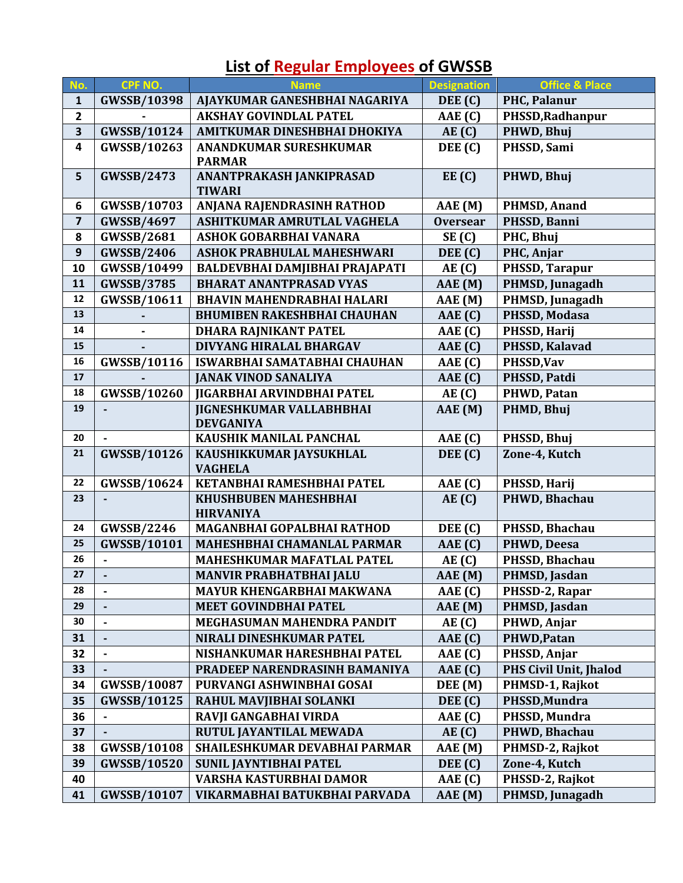### **List of Regular Employees of GWSSB**

| No.                     | <b>CPF NO.</b>     | <b>Name</b>                                         | <b>Designation</b> | <b>Office &amp; Place</b> |
|-------------------------|--------------------|-----------------------------------------------------|--------------------|---------------------------|
| $\mathbf{1}$            | <b>GWSSB/10398</b> | AJAYKUMAR GANESHBHAI NAGARIYA                       | DEE (C)            | PHC, Palanur              |
| $\overline{\mathbf{2}}$ |                    | <b>AKSHAY GOVINDLAL PATEL</b>                       | AAE (C)            | PHSSD, Radhanpur          |
| 3                       | <b>GWSSB/10124</b> | AMITKUMAR DINESHBHAI DHOKIYA                        | AE(G)              | PHWD, Bhuj                |
| $\overline{\mathbf{4}}$ | GWSSB/10263        | <b>ANANDKUMAR SURESHKUMAR</b><br><b>PARMAR</b>      | DEE (C)            | PHSSD, Sami               |
| 5                       | <b>GWSSB/2473</b>  | ANANTPRAKASH JANKIPRASAD<br><b>TIWARI</b>           | EE(C)              | PHWD, Bhuj                |
| 6                       | GWSSB/10703        | ANJANA RAJENDRASINH RATHOD                          | AAE (M)            | <b>PHMSD, Anand</b>       |
| $\overline{\mathbf{z}}$ | <b>GWSSB/4697</b>  | ASHITKUMAR AMRUTLAL VAGHELA                         | <b>Oversear</b>    | PHSSD, Banni              |
| 8                       | <b>GWSSB/2681</b>  | ASHOK GOBARBHAI VANARA                              | SE(C)              | PHC, Bhuj                 |
| $\boldsymbol{9}$        | <b>GWSSB/2406</b>  | <b>ASHOK PRABHULAL MAHESHWARI</b>                   | DEE (C)            | PHC, Anjar                |
| 10                      | GWSSB/10499        | BALDEVBHAI DAMJIBHAI PRAJAPATI                      | AE(C)              | PHSSD, Tarapur            |
| 11                      | <b>GWSSB/3785</b>  | <b>BHARAT ANANTPRASAD VYAS</b>                      | AAE (M)            | PHMSD, Junagadh           |
| 12                      | GWSSB/10611        | <b>BHAVIN MAHENDRABHAI HALARI</b>                   | AAE (M)            | PHMSD, Junagadh           |
| 13                      |                    | <b>BHUMIBEN RAKESHBHAI CHAUHAN</b>                  | AAE(G)             | PHSSD, Modasa             |
| 14                      |                    | DHARA RAJNIKANT PATEL                               | AAE(G)             | PHSSD, Harij              |
| 15                      |                    | DIVYANG HIRALAL BHARGAV                             | AAE(G)             | PHSSD, Kalavad            |
| 16                      | <b>GWSSB/10116</b> | ISWARBHAI SAMATABHAI CHAUHAN                        | AAE(G)             | PHSSD, Vav                |
| 17                      |                    | <b>JANAK VINOD SANALIYA</b>                         | AAE(G)             | PHSSD, Patdi              |
| 18                      | <b>GWSSB/10260</b> | <b>JIGARBHAI ARVINDBHAI PATEL</b>                   | AE(C)              | PHWD, Patan               |
| 19                      |                    | <b>JIGNESHKUMAR VALLABHBHAI</b><br><b>DEVGANIYA</b> | AAE (M)            | PHMD, Bhuj                |
| 20                      |                    | KAUSHIK MANILAL PANCHAL                             | AAE(G)             | PHSSD, Bhuj               |
| 21                      | <b>GWSSB/10126</b> | KAUSHIKKUMAR JAYSUKHLAL<br><b>VAGHELA</b>           | DEE (C)            | Zone-4, Kutch             |
| 22                      | GWSSB/10624        | KETANBHAI RAMESHBHAI PATEL                          | AAE(G)             | PHSSD, Harij              |
| 23                      |                    | <b>KHUSHBUBEN MAHESHBHAI</b><br><b>HIRVANIYA</b>    | AE(C)              | PHWD, Bhachau             |
| 24                      | <b>GWSSB/2246</b>  | MAGANBHAI GOPALBHAI RATHOD                          | DEE (C)            | PHSSD, Bhachau            |
| 25                      | <b>GWSSB/10101</b> | MAHESHBHAI CHAMANLAL PARMAR                         | AAE(G)             | PHWD, Deesa               |
| 26                      |                    | MAHESHKUMAR MAFATLAL PATEL                          | AE(C)              | PHSSD, Bhachau            |
| 27                      |                    | <b>MANVIR PRABHATBHAI JALU</b>                      | AAE (M)            | PHMSD, Jasdan             |
| 28                      |                    | MAYUR KHENGARBHAI MAKWANA                           | AAE (C)            | PHSSD-2, Rapar            |
| 29                      |                    | <b>MEET GOVINDBHAI PATEL</b>                        | AAE (M)            | PHMSD, Jasdan             |
| 30                      |                    | MEGHASUMAN MAHENDRA PANDIT                          | AE(G)              | PHWD, Anjar               |
| 31                      |                    | NIRALI DINESHKUMAR PATEL                            | AAE(G)             | PHWD, Patan               |
| 32                      |                    | NISHANKUMAR HARESHBHAI PATEL                        | AAE(G)             | PHSSD, Anjar              |
| 33                      |                    | PRADEEP NARENDRASINH BAMANIYA                       | AAE(G)             | PHS Civil Unit, Jhalod    |
| 34                      | GWSSB/10087        | PURVANGI ASHWINBHAI GOSAI                           | DEE (M)            | PHMSD-1, Rajkot           |
| 35                      | <b>GWSSB/10125</b> | RAHUL MAVJIBHAI SOLANKI                             | DEE (C)            | PHSSD, Mundra             |
| 36                      | $\blacksquare$     | RAVJI GANGABHAI VIRDA                               | AAE(G)             | PHSSD, Mundra             |
| 37                      |                    | RUTUL JAYANTILAL MEWADA                             | AE(C)              | PHWD, Bhachau             |
| 38                      | <b>GWSSB/10108</b> | SHAILESHKUMAR DEVABHAI PARMAR                       | AAE (M)            | PHMSD-2, Rajkot           |
| 39                      | <b>GWSSB/10520</b> | <b>SUNIL JAYNTIBHAI PATEL</b>                       | DEE (C)            | Zone-4, Kutch             |
| 40                      |                    | VARSHA KASTURBHAI DAMOR                             | AAE(G)             | PHSSD-2, Rajkot           |
| 41                      | <b>GWSSB/10107</b> | VIKARMABHAI BATUKBHAI PARVADA                       | AAE (M)            | PHMSD, Junagadh           |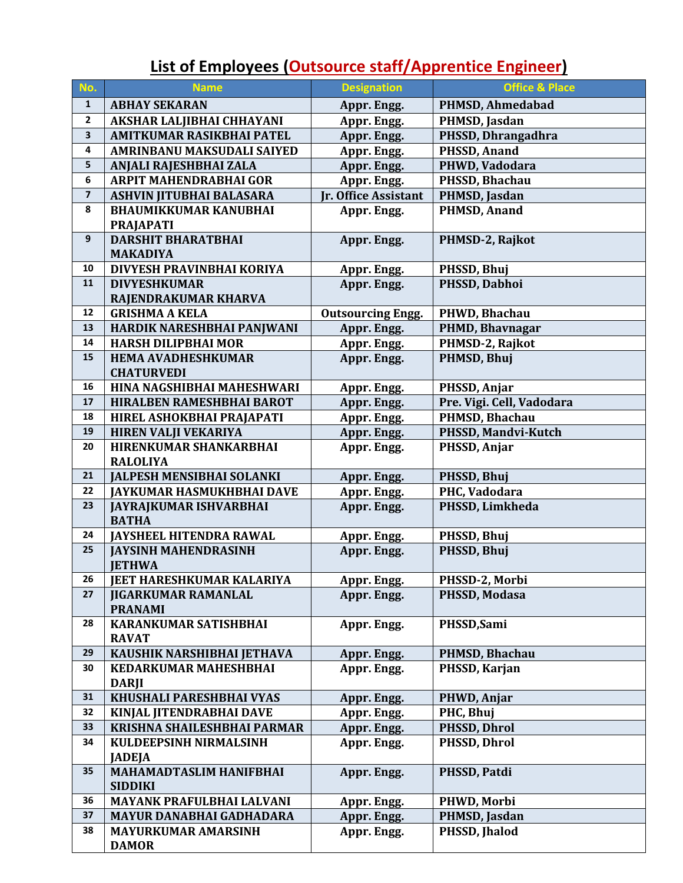# **List of Employees (Outsource staff/Apprentice Engineer)**

| No.                     | <b>Name</b>                                              | <b>Designation</b>          | <b>Office &amp; Place</b>          |
|-------------------------|----------------------------------------------------------|-----------------------------|------------------------------------|
| $\mathbf{1}$            | <b>ABHAY SEKARAN</b>                                     | Appr. Engg.                 | PHMSD, Ahmedabad                   |
| $\mathbf 2$             | AKSHAR LALJIBHAI CHHAYANI                                | Appr. Engg.                 | PHMSD, Jasdan                      |
| $\overline{\mathbf{3}}$ | AMITKUMAR RASIKBHAI PATEL                                | Appr. Engg.                 | PHSSD, Dhrangadhra                 |
| 4                       | AMRINBANU MAKSUDALI SAIYED                               | Appr. Engg.                 | PHSSD, Anand                       |
| $\sf 5$                 | ANJALI RAJESHBHAI ZALA                                   | Appr. Engg.                 | PHWD, Vadodara                     |
| 6                       | <b>ARPIT MAHENDRABHAI GOR</b>                            | Appr. Engg.                 | PHSSD, Bhachau                     |
| $\overline{\mathbf{z}}$ | ASHVIN JITUBHAI BALASARA                                 | <b>Jr. Office Assistant</b> | PHMSD, Jasdan                      |
| 8                       | <b>BHAUMIKKUMAR KANUBHAI</b>                             | Appr. Engg.                 | <b>PHMSD, Anand</b>                |
|                         | <b>PRAJAPATI</b>                                         |                             |                                    |
| 9                       | <b>DARSHIT BHARATBHAI</b>                                | Appr. Engg.                 | PHMSD-2, Rajkot                    |
|                         | <b>MAKADIYA</b>                                          |                             |                                    |
| 10                      | DIVYESH PRAVINBHAI KORIYA                                | Appr. Engg.                 | PHSSD, Bhuj                        |
| 11                      | <b>DIVYESHKUMAR</b>                                      | Appr. Engg.                 | PHSSD, Dabhoi                      |
|                         | RAJENDRAKUMAR KHARVA                                     |                             |                                    |
| 12<br>13                | <b>GRISHMA A KELA</b>                                    | <b>Outsourcing Engg.</b>    | PHWD, Bhachau                      |
| 14                      | HARDIK NARESHBHAI PANJWANI<br><b>HARSH DILIPBHAI MOR</b> | Appr. Engg.                 | PHMD, Bhavnagar<br>PHMSD-2, Rajkot |
| 15                      | <b>HEMA AVADHESHKUMAR</b>                                | Appr. Engg.<br>Appr. Engg.  | PHMSD, Bhuj                        |
|                         | <b>CHATURVEDI</b>                                        |                             |                                    |
| 16                      | HINA NAGSHIBHAI MAHESHWARI                               | Appr. Engg.                 | PHSSD, Anjar                       |
| 17                      | HIRALBEN RAMESHBHAI BAROT                                | Appr. Engg.                 | Pre. Vigi. Cell, Vadodara          |
| 18                      | HIREL ASHOKBHAI PRAJAPATI                                | Appr. Engg.                 | PHMSD, Bhachau                     |
| 19                      | <b>HIREN VALJI VEKARIYA</b>                              | Appr. Engg.                 | PHSSD, Mandvi-Kutch                |
| 20                      | HIRENKUMAR SHANKARBHAI                                   | Appr. Engg.                 | PHSSD, Anjar                       |
|                         | <b>RALOLIYA</b>                                          |                             |                                    |
| 21                      | <b>JALPESH MENSIBHAI SOLANKI</b>                         | Appr. Engg.                 | PHSSD, Bhuj                        |
| 22                      | <b>JAYKUMAR HASMUKHBHAI DAVE</b>                         | Appr. Engg.                 | PHC, Vadodara                      |
| 23                      | <b>JAYRAJKUMAR ISHVARBHAI</b>                            | Appr. Engg.                 | PHSSD, Limkheda                    |
|                         | <b>BATHA</b>                                             |                             |                                    |
| 24                      | <b>IAYSHEEL HITENDRA RAWAL</b>                           | Appr. Engg.                 | PHSSD, Bhuj                        |
| 25                      | <b>JAYSINH MAHENDRASINH</b>                              | Appr. Engg.                 | PHSSD, Bhuj                        |
|                         | <b>JETHWA</b>                                            |                             |                                    |
| 26                      | <b>JEET HARESHKUMAR KALARIYA</b>                         | Appr. Engg.                 | PHSSD-2, Morbi                     |
| 27                      | <b>JIGARKUMAR RAMANLAL</b><br><b>PRANAMI</b>             | Appr. Engg.                 | PHSSD, Modasa                      |
| 28                      | <b>KARANKUMAR SATISHBHAI</b>                             | Appr. Engg.                 | PHSSD, Sami                        |
|                         | <b>RAVAT</b>                                             |                             |                                    |
| 29                      | KAUSHIK NARSHIBHAI JETHAVA                               | Appr. Engg.                 | PHMSD, Bhachau                     |
| 30                      | <b>KEDARKUMAR MAHESHBHAI</b>                             | Appr. Engg.                 | PHSSD, Karjan                      |
|                         | <b>DARJI</b>                                             |                             |                                    |
| 31                      | KHUSHALI PARESHBHAI VYAS                                 | Appr. Engg.                 | PHWD, Anjar                        |
| 32                      | KINJAL JITENDRABHAI DAVE                                 | Appr. Engg.                 | PHC, Bhuj                          |
| 33                      | KRISHNA SHAILESHBHAI PARMAR                              | Appr. Engg.                 | PHSSD, Dhrol                       |
| 34                      | <b>KULDEEPSINH NIRMALSINH</b>                            | Appr. Engg.                 | PHSSD, Dhrol                       |
|                         | <b>JADEJA</b>                                            |                             |                                    |
| 35                      | <b>MAHAMADTASLIM HANIFBHAI</b>                           | Appr. Engg.                 | PHSSD, Patdi                       |
|                         | <b>SIDDIKI</b>                                           |                             |                                    |
| 36                      | MAYANK PRAFULBHAI LALVANI                                | Appr. Engg.                 | PHWD, Morbi                        |
| 37                      | <b>MAYUR DANABHAI GADHADARA</b>                          | Appr. Engg.                 | PHMSD, Jasdan                      |
| 38                      | <b>MAYURKUMAR AMARSINH</b>                               | Appr. Engg.                 | PHSSD, Jhalod                      |
|                         | <b>DAMOR</b>                                             |                             |                                    |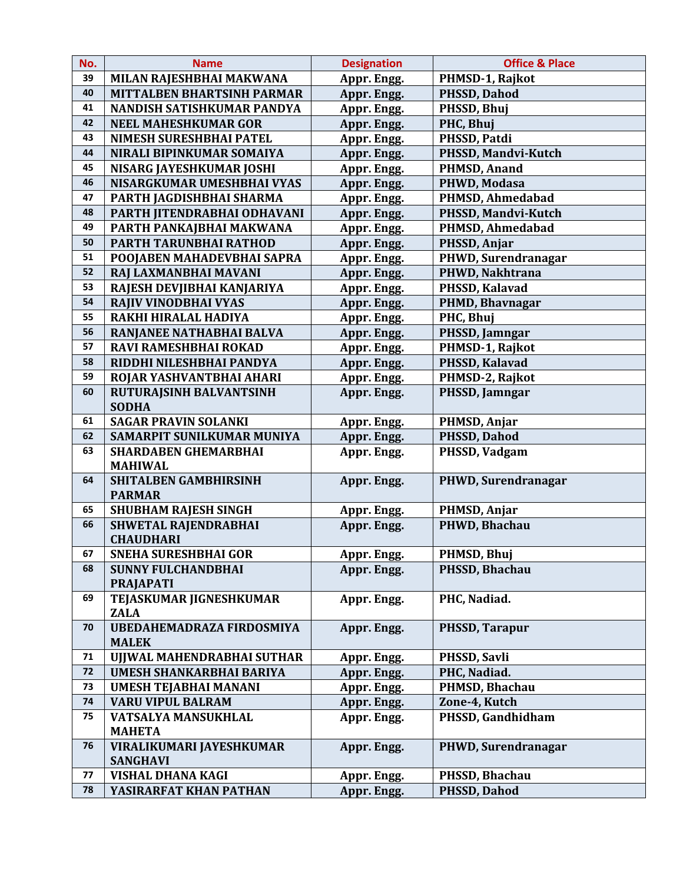| No. | <b>Name</b>                       | <b>Designation</b> | <b>Office &amp; Place</b> |  |
|-----|-----------------------------------|--------------------|---------------------------|--|
| 39  | MILAN RAJESHBHAI MAKWANA          | Appr. Engg.        | PHMSD-1, Rajkot           |  |
| 40  | <b>MITTALBEN BHARTSINH PARMAR</b> | Appr. Engg.        | <b>PHSSD, Dahod</b>       |  |
| 41  | NANDISH SATISHKUMAR PANDYA        | Appr. Engg.        | PHSSD, Bhuj               |  |
| 42  | <b>NEEL MAHESHKUMAR GOR</b>       | Appr. Engg.        | PHC, Bhuj                 |  |
| 43  | NIMESH SURESHBHAI PATEL           | Appr. Engg.        | PHSSD, Patdi              |  |
| 44  | NIRALI BIPINKUMAR SOMAIYA         | Appr. Engg.        | PHSSD, Mandvi-Kutch       |  |
| 45  | <b>NISARG JAYESHKUMAR JOSHI</b>   | Appr. Engg.        | <b>PHMSD, Anand</b>       |  |
| 46  | NISARGKUMAR UMESHBHAI VYAS        | Appr. Engg.        | PHWD, Modasa              |  |
| 47  | PARTH JAGDISHBHAI SHARMA          | Appr. Engg.        | PHMSD, Ahmedabad          |  |
| 48  | PARTH JITENDRABHAI ODHAVANI       | Appr. Engg.        | PHSSD, Mandvi-Kutch       |  |
| 49  | PARTH PANKAJBHAI MAKWANA          | Appr. Engg.        | PHMSD, Ahmedabad          |  |
| 50  | PARTH TARUNBHAI RATHOD            | Appr. Engg.        | PHSSD, Anjar              |  |
| 51  | POOJABEN MAHADEVBHAI SAPRA        | Appr. Engg.        | PHWD, Surendranagar       |  |
| 52  | RAJ LAXMANBHAI MAVANI             | Appr. Engg.        | PHWD, Nakhtrana           |  |
| 53  | RAJESH DEVJIBHAI KANJARIYA        | Appr. Engg.        | PHSSD, Kalavad            |  |
| 54  | RAJIV VINODBHAI VYAS              | Appr. Engg.        | PHMD, Bhavnagar           |  |
| 55  | RAKHI HIRALAL HADIYA              | Appr. Engg.        | PHC, Bhuj                 |  |
| 56  | RANJANEE NATHABHAI BALVA          | Appr. Engg.        | PHSSD, Jamngar            |  |
| 57  | RAVI RAMESHBHAI ROKAD             | Appr. Engg.        | PHMSD-1, Rajkot           |  |
| 58  | RIDDHI NILESHBHAI PANDYA          | Appr. Engg.        | PHSSD, Kalavad            |  |
| 59  | ROJAR YASHVANTBHAI AHARI          | Appr. Engg.        | PHMSD-2, Rajkot           |  |
| 60  | RUTURAJSINH BALVANTSINH           | Appr. Engg.        | PHSSD, Jamngar            |  |
|     | <b>SODHA</b>                      |                    |                           |  |
| 61  | <b>SAGAR PRAVIN SOLANKI</b>       | Appr. Engg.        | PHMSD, Anjar              |  |
| 62  | SAMARPIT SUNILKUMAR MUNIYA        | Appr. Engg.        | PHSSD, Dahod              |  |
| 63  | <b>SHARDABEN GHEMARBHAI</b>       | Appr. Engg.        | PHSSD, Vadgam             |  |
|     | <b>MAHIWAL</b>                    |                    |                           |  |
| 64  | <b>SHITALBEN GAMBHIRSINH</b>      | Appr. Engg.        | PHWD, Surendranagar       |  |
|     | <b>PARMAR</b>                     |                    |                           |  |
| 65  | <b>SHUBHAM RAJESH SINGH</b>       | Appr. Engg.        | PHMSD, Anjar              |  |
| 66  | SHWETAL RAJENDRABHAI              | Appr. Engg.        | PHWD, Bhachau             |  |
|     | <b>CHAUDHARI</b>                  |                    |                           |  |
| 67  | <b>SNEHA SURESHBHAI GOR</b>       | Appr. Engg.        | PHMSD, Bhuj               |  |
| 68  | <b>SUNNY FULCHANDBHAI</b>         | Appr. Engg.        | PHSSD, Bhachau            |  |
|     | <b>PRAJAPATI</b>                  |                    |                           |  |
| 69  | TEJASKUMAR JIGNESHKUMAR           | Appr. Engg.        | PHC, Nadiad.              |  |
|     | <b>ZALA</b>                       |                    |                           |  |
| 70  | UBEDAHEMADRAZA FIRDOSMIYA         | Appr. Engg.        | PHSSD, Tarapur            |  |
|     | <b>MALEK</b>                      |                    |                           |  |
| 71  | UJJWAL MAHENDRABHAI SUTHAR        | Appr. Engg.        | PHSSD, Savli              |  |
| 72  | <b>UMESH SHANKARBHAI BARIYA</b>   | Appr. Engg.        | PHC, Nadiad.              |  |
| 73  | <b>UMESH TEJABHAI MANANI</b>      | Appr. Engg.        | PHMSD, Bhachau            |  |
| 74  | <b>VARU VIPUL BALRAM</b>          | Appr. Engg.        | Zone-4, Kutch             |  |
| 75  | VATSALYA MANSUKHLAL               | Appr. Engg.        | PHSSD, Gandhidham         |  |
|     | <b>MAHETA</b>                     |                    |                           |  |
| 76  | VIRALIKUMARI JAYESHKUMAR          | Appr. Engg.        | PHWD, Surendranagar       |  |
|     | <b>SANGHAVI</b>                   |                    |                           |  |
| 77  | VISHAL DHANA KAGI                 | Appr. Engg.        | PHSSD, Bhachau            |  |
| 78  | YASIRARFAT KHAN PATHAN            | Appr. Engg.        | PHSSD, Dahod              |  |